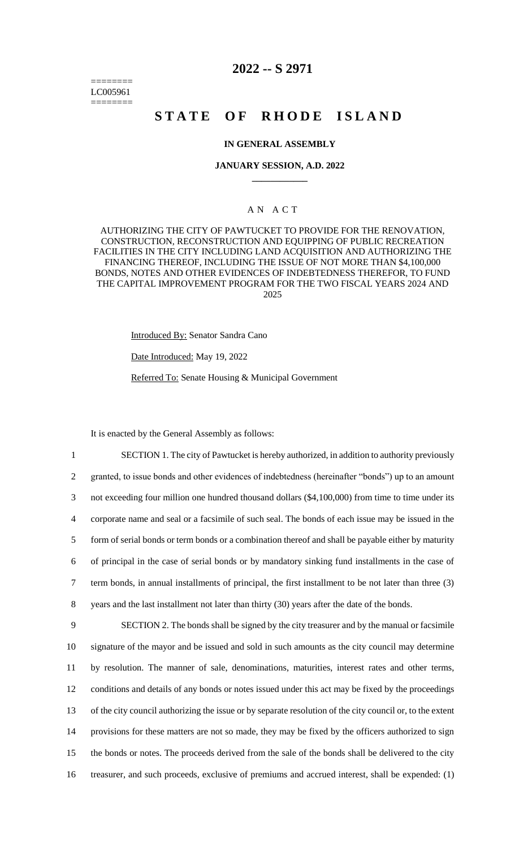======== LC005961 ========

## **2022 -- S 2971**

# **STATE OF RHODE ISLAND**

#### **IN GENERAL ASSEMBLY**

#### **JANUARY SESSION, A.D. 2022 \_\_\_\_\_\_\_\_\_\_\_\_**

### A N A C T

AUTHORIZING THE CITY OF PAWTUCKET TO PROVIDE FOR THE RENOVATION, CONSTRUCTION, RECONSTRUCTION AND EQUIPPING OF PUBLIC RECREATION FACILITIES IN THE CITY INCLUDING LAND ACQUISITION AND AUTHORIZING THE FINANCING THEREOF, INCLUDING THE ISSUE OF NOT MORE THAN \$4,100,000 BONDS, NOTES AND OTHER EVIDENCES OF INDEBTEDNESS THEREFOR, TO FUND THE CAPITAL IMPROVEMENT PROGRAM FOR THE TWO FISCAL YEARS 2024 AND 2025

Introduced By: Senator Sandra Cano

Date Introduced: May 19, 2022

Referred To: Senate Housing & Municipal Government

It is enacted by the General Assembly as follows:

 SECTION 1. The city of Pawtucket is hereby authorized, in addition to authority previously granted, to issue bonds and other evidences of indebtedness (hereinafter "bonds") up to an amount not exceeding four million one hundred thousand dollars (\$4,100,000) from time to time under its corporate name and seal or a facsimile of such seal. The bonds of each issue may be issued in the form of serial bonds or term bonds or a combination thereof and shall be payable either by maturity of principal in the case of serial bonds or by mandatory sinking fund installments in the case of term bonds, in annual installments of principal, the first installment to be not later than three (3) years and the last installment not later than thirty (30) years after the date of the bonds. SECTION 2. The bonds shall be signed by the city treasurer and by the manual or facsimile signature of the mayor and be issued and sold in such amounts as the city council may determine by resolution. The manner of sale, denominations, maturities, interest rates and other terms,

12 conditions and details of any bonds or notes issued under this act may be fixed by the proceedings 13 of the city council authorizing the issue or by separate resolution of the city council or, to the extent 14 provisions for these matters are not so made, they may be fixed by the officers authorized to sign

15 the bonds or notes. The proceeds derived from the sale of the bonds shall be delivered to the city

16 treasurer, and such proceeds, exclusive of premiums and accrued interest, shall be expended: (1)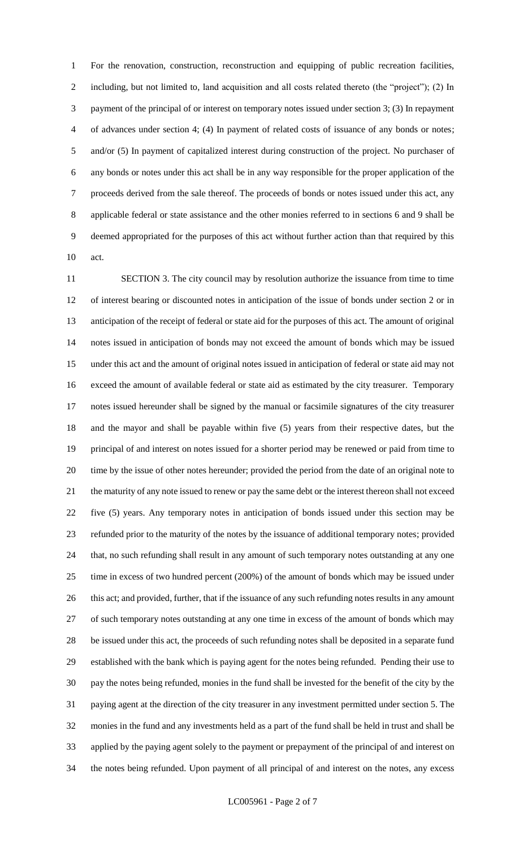For the renovation, construction, reconstruction and equipping of public recreation facilities, including, but not limited to, land acquisition and all costs related thereto (the "project"); (2) In payment of the principal of or interest on temporary notes issued under section 3; (3) In repayment of advances under section 4; (4) In payment of related costs of issuance of any bonds or notes; and/or (5) In payment of capitalized interest during construction of the project. No purchaser of any bonds or notes under this act shall be in any way responsible for the proper application of the proceeds derived from the sale thereof. The proceeds of bonds or notes issued under this act, any applicable federal or state assistance and the other monies referred to in sections 6 and 9 shall be deemed appropriated for the purposes of this act without further action than that required by this act.

 SECTION 3. The city council may by resolution authorize the issuance from time to time of interest bearing or discounted notes in anticipation of the issue of bonds under section 2 or in anticipation of the receipt of federal or state aid for the purposes of this act. The amount of original notes issued in anticipation of bonds may not exceed the amount of bonds which may be issued under this act and the amount of original notes issued in anticipation of federal or state aid may not exceed the amount of available federal or state aid as estimated by the city treasurer. Temporary notes issued hereunder shall be signed by the manual or facsimile signatures of the city treasurer and the mayor and shall be payable within five (5) years from their respective dates, but the principal of and interest on notes issued for a shorter period may be renewed or paid from time to time by the issue of other notes hereunder; provided the period from the date of an original note to the maturity of any note issued to renew or pay the same debt or the interest thereon shall not exceed five (5) years. Any temporary notes in anticipation of bonds issued under this section may be refunded prior to the maturity of the notes by the issuance of additional temporary notes; provided that, no such refunding shall result in any amount of such temporary notes outstanding at any one time in excess of two hundred percent (200%) of the amount of bonds which may be issued under 26 this act; and provided, further, that if the issuance of any such refunding notes results in any amount of such temporary notes outstanding at any one time in excess of the amount of bonds which may be issued under this act, the proceeds of such refunding notes shall be deposited in a separate fund established with the bank which is paying agent for the notes being refunded. Pending their use to pay the notes being refunded, monies in the fund shall be invested for the benefit of the city by the paying agent at the direction of the city treasurer in any investment permitted under section 5. The monies in the fund and any investments held as a part of the fund shall be held in trust and shall be applied by the paying agent solely to the payment or prepayment of the principal of and interest on the notes being refunded. Upon payment of all principal of and interest on the notes, any excess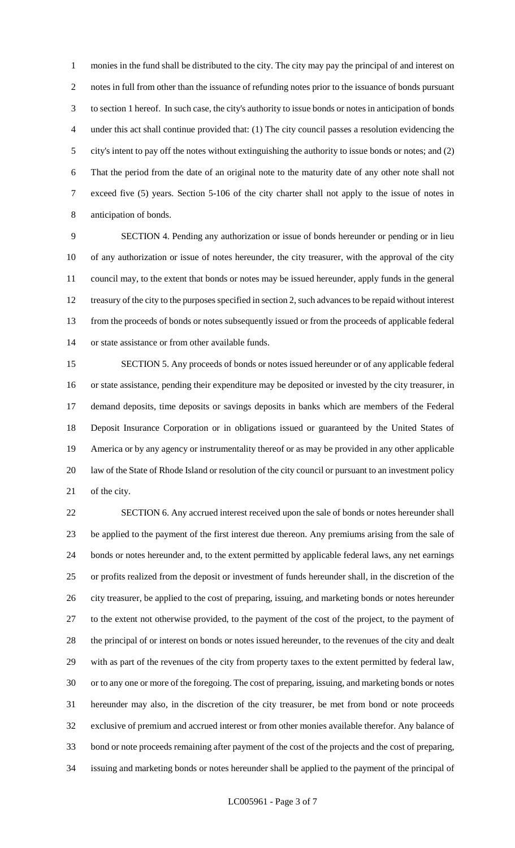monies in the fund shall be distributed to the city. The city may pay the principal of and interest on notes in full from other than the issuance of refunding notes prior to the issuance of bonds pursuant to section 1 hereof. In such case, the city's authority to issue bonds or notes in anticipation of bonds under this act shall continue provided that: (1) The city council passes a resolution evidencing the city's intent to pay off the notes without extinguishing the authority to issue bonds or notes; and (2) That the period from the date of an original note to the maturity date of any other note shall not exceed five (5) years. Section 5-106 of the city charter shall not apply to the issue of notes in anticipation of bonds.

 SECTION 4. Pending any authorization or issue of bonds hereunder or pending or in lieu of any authorization or issue of notes hereunder, the city treasurer, with the approval of the city council may, to the extent that bonds or notes may be issued hereunder, apply funds in the general treasury of the city to the purposes specified in section 2, such advances to be repaid without interest from the proceeds of bonds or notes subsequently issued or from the proceeds of applicable federal or state assistance or from other available funds.

 SECTION 5. Any proceeds of bonds or notes issued hereunder or of any applicable federal or state assistance, pending their expenditure may be deposited or invested by the city treasurer, in demand deposits, time deposits or savings deposits in banks which are members of the Federal Deposit Insurance Corporation or in obligations issued or guaranteed by the United States of America or by any agency or instrumentality thereof or as may be provided in any other applicable law of the State of Rhode Island or resolution of the city council or pursuant to an investment policy of the city.

 SECTION 6. Any accrued interest received upon the sale of bonds or notes hereunder shall be applied to the payment of the first interest due thereon. Any premiums arising from the sale of bonds or notes hereunder and, to the extent permitted by applicable federal laws, any net earnings or profits realized from the deposit or investment of funds hereunder shall, in the discretion of the city treasurer, be applied to the cost of preparing, issuing, and marketing bonds or notes hereunder to the extent not otherwise provided, to the payment of the cost of the project, to the payment of the principal of or interest on bonds or notes issued hereunder, to the revenues of the city and dealt with as part of the revenues of the city from property taxes to the extent permitted by federal law, or to any one or more of the foregoing. The cost of preparing, issuing, and marketing bonds or notes hereunder may also, in the discretion of the city treasurer, be met from bond or note proceeds exclusive of premium and accrued interest or from other monies available therefor. Any balance of bond or note proceeds remaining after payment of the cost of the projects and the cost of preparing, issuing and marketing bonds or notes hereunder shall be applied to the payment of the principal of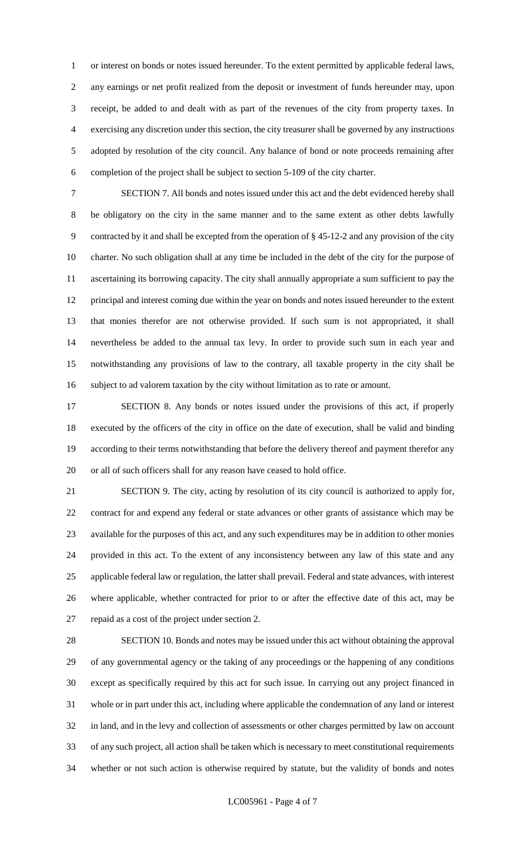or interest on bonds or notes issued hereunder. To the extent permitted by applicable federal laws, any earnings or net profit realized from the deposit or investment of funds hereunder may, upon receipt, be added to and dealt with as part of the revenues of the city from property taxes. In exercising any discretion under this section, the city treasurer shall be governed by any instructions adopted by resolution of the city council. Any balance of bond or note proceeds remaining after completion of the project shall be subject to section 5-109 of the city charter.

 SECTION 7. All bonds and notes issued under this act and the debt evidenced hereby shall be obligatory on the city in the same manner and to the same extent as other debts lawfully contracted by it and shall be excepted from the operation of § 45-12-2 and any provision of the city charter. No such obligation shall at any time be included in the debt of the city for the purpose of ascertaining its borrowing capacity. The city shall annually appropriate a sum sufficient to pay the principal and interest coming due within the year on bonds and notes issued hereunder to the extent that monies therefor are not otherwise provided. If such sum is not appropriated, it shall nevertheless be added to the annual tax levy. In order to provide such sum in each year and notwithstanding any provisions of law to the contrary, all taxable property in the city shall be subject to ad valorem taxation by the city without limitation as to rate or amount.

 SECTION 8. Any bonds or notes issued under the provisions of this act, if properly executed by the officers of the city in office on the date of execution, shall be valid and binding according to their terms notwithstanding that before the delivery thereof and payment therefor any or all of such officers shall for any reason have ceased to hold office.

 SECTION 9. The city, acting by resolution of its city council is authorized to apply for, contract for and expend any federal or state advances or other grants of assistance which may be available for the purposes of this act, and any such expenditures may be in addition to other monies provided in this act. To the extent of any inconsistency between any law of this state and any applicable federal law or regulation, the latter shall prevail. Federal and state advances, with interest where applicable, whether contracted for prior to or after the effective date of this act, may be repaid as a cost of the project under section 2.

 SECTION 10. Bonds and notes may be issued under this act without obtaining the approval of any governmental agency or the taking of any proceedings or the happening of any conditions except as specifically required by this act for such issue. In carrying out any project financed in whole or in part under this act, including where applicable the condemnation of any land or interest in land, and in the levy and collection of assessments or other charges permitted by law on account of any such project, all action shall be taken which is necessary to meet constitutional requirements whether or not such action is otherwise required by statute, but the validity of bonds and notes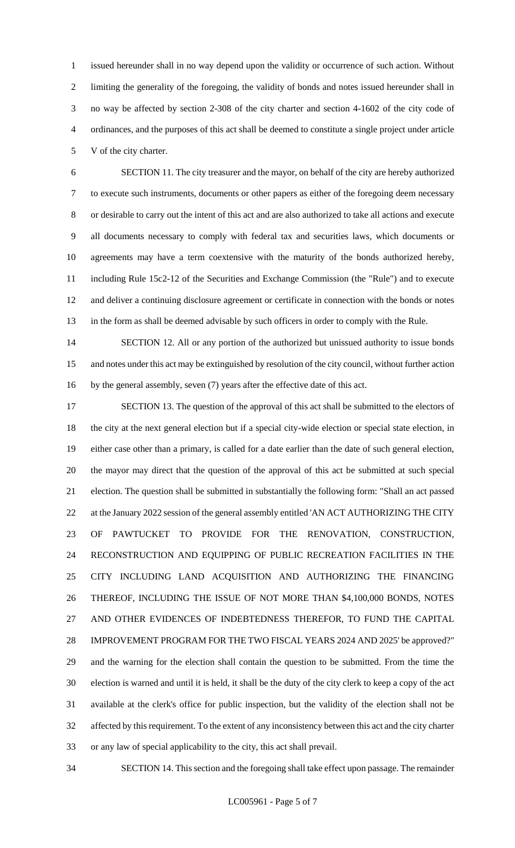issued hereunder shall in no way depend upon the validity or occurrence of such action. Without limiting the generality of the foregoing, the validity of bonds and notes issued hereunder shall in no way be affected by section 2-308 of the city charter and section 4-1602 of the city code of ordinances, and the purposes of this act shall be deemed to constitute a single project under article V of the city charter.

 SECTION 11. The city treasurer and the mayor, on behalf of the city are hereby authorized to execute such instruments, documents or other papers as either of the foregoing deem necessary or desirable to carry out the intent of this act and are also authorized to take all actions and execute all documents necessary to comply with federal tax and securities laws, which documents or agreements may have a term coextensive with the maturity of the bonds authorized hereby, including Rule 15c2-12 of the Securities and Exchange Commission (the "Rule") and to execute and deliver a continuing disclosure agreement or certificate in connection with the bonds or notes in the form as shall be deemed advisable by such officers in order to comply with the Rule.

14 SECTION 12. All or any portion of the authorized but unissued authority to issue bonds and notes under this act may be extinguished by resolution of the city council, without further action by the general assembly, seven (7) years after the effective date of this act.

17 SECTION 13. The question of the approval of this act shall be submitted to the electors of the city at the next general election but if a special city-wide election or special state election, in either case other than a primary, is called for a date earlier than the date of such general election, the mayor may direct that the question of the approval of this act be submitted at such special election. The question shall be submitted in substantially the following form: "Shall an act passed 22 at the January 2022 session of the general assembly entitled 'AN ACT AUTHORIZING THE CITY OF PAWTUCKET TO PROVIDE FOR THE RENOVATION, CONSTRUCTION, RECONSTRUCTION AND EQUIPPING OF PUBLIC RECREATION FACILITIES IN THE CITY INCLUDING LAND ACQUISITION AND AUTHORIZING THE FINANCING THEREOF, INCLUDING THE ISSUE OF NOT MORE THAN \$4,100,000 BONDS, NOTES AND OTHER EVIDENCES OF INDEBTEDNESS THEREFOR, TO FUND THE CAPITAL IMPROVEMENT PROGRAM FOR THE TWO FISCAL YEARS 2024 AND 2025' be approved?" and the warning for the election shall contain the question to be submitted. From the time the election is warned and until it is held, it shall be the duty of the city clerk to keep a copy of the act available at the clerk's office for public inspection, but the validity of the election shall not be affected by this requirement. To the extent of any inconsistency between this act and the city charter or any law of special applicability to the city, this act shall prevail.

SECTION 14. This section and the foregoing shall take effect upon passage. The remainder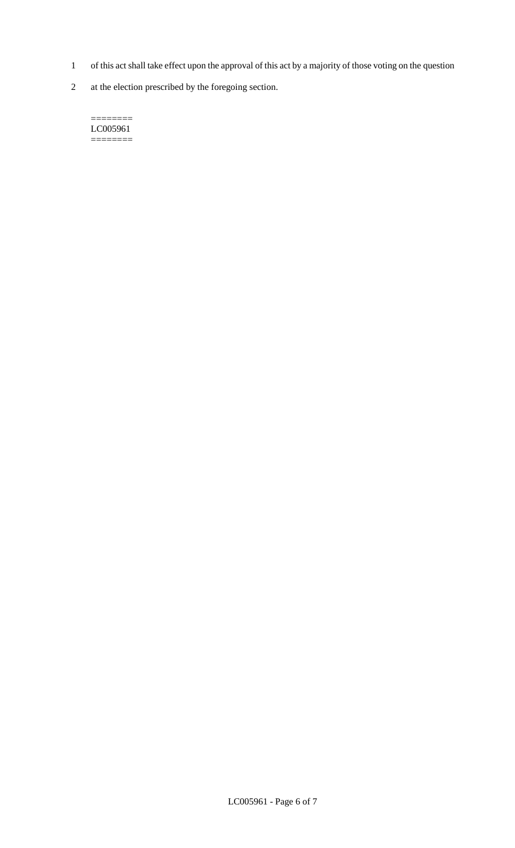- 1 of this act shall take effect upon the approval of this act by a majority of those voting on the question
- 2 at the election prescribed by the foregoing section.

======== LC005961  $=$